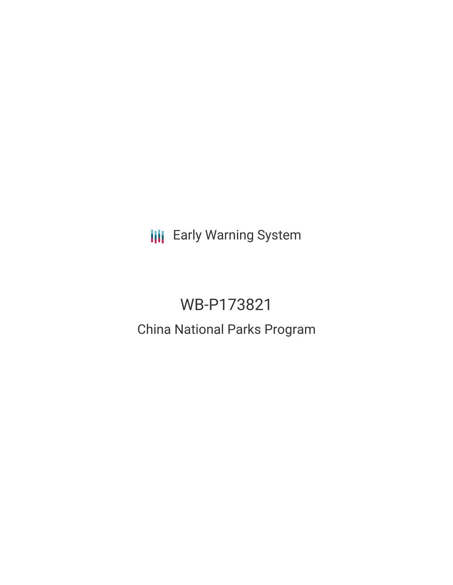**III** Early Warning System

# WB-P173821 China National Parks Program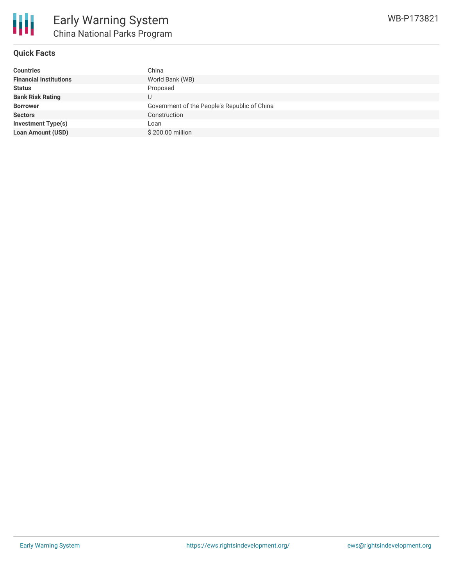

## **Quick Facts**

| <b>Countries</b>              | China                                        |
|-------------------------------|----------------------------------------------|
| <b>Financial Institutions</b> | World Bank (WB)                              |
| <b>Status</b>                 | Proposed                                     |
| <b>Bank Risk Rating</b>       |                                              |
| <b>Borrower</b>               | Government of the People's Republic of China |
| <b>Sectors</b>                | Construction                                 |
| <b>Investment Type(s)</b>     | Loan                                         |
| <b>Loan Amount (USD)</b>      | \$200,00 million                             |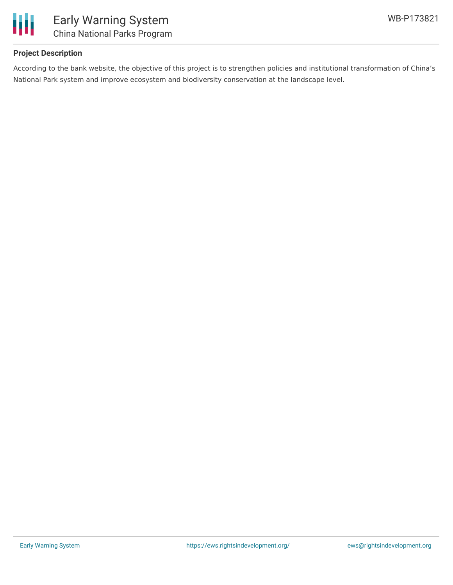

## **Project Description**

According to the bank website, the objective of this project is to strengthen policies and institutional transformation of China's National Park system and improve ecosystem and biodiversity conservation at the landscape level.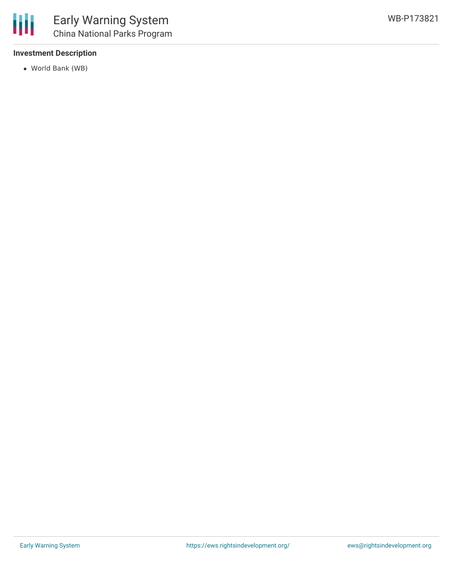#### **Investment Description**

World Bank (WB)